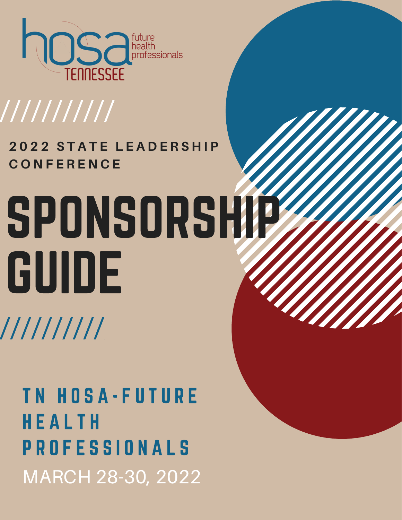

## ///////////

#### **2 0 2 2 S T A T E L E A D E R S H I P C O N F E R E N C E**

# SPONSORSHIP GUIDE //////////

MARCH 28-30, 2022 TN HOSA-FUTURE H E A L T H P R O F E S S I O N A L S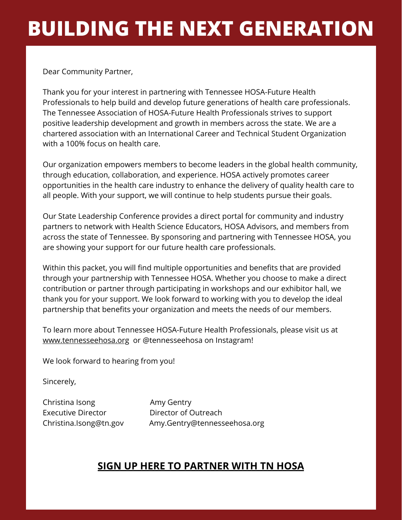#### **BUILDING THE NEXT GENERATION**

Dear Community Partner,

Thank you for your interest in partnering with Tennessee HOSA-Future Health Professionals to help build and develop future generations of health care professionals. The Tennessee Association of HOSA-Future Health Professionals strives to support positive leadership development and growth in members across the state. We are a chartered association with an International Career and Technical Student Organization with a 100% focus on health care.

Our organization empowers members to become leaders in the global health community, through education, collaboration, and experience. HOSA actively promotes career opportunities in the health care industry to enhance the delivery of quality health care to all people. With your support, we will continue to help students pursue their goals.

Our State Leadership Conference provides a direct portal for community and industry partners to network with Health Science Educators, HOSA Advisors, and members from across the state of Tennessee. By sponsoring and partnering with Tennessee HOSA, you are showing your support for our future health care professionals.

Within this packet, you will find multiple opportunities and benefits that are provided through your partnership with Tennessee HOSA. Whether you choose to make a direct contribution or partner through participating in workshops and our exhibitor hall, we thank you for your support. We look forward to working with you to develop the ideal partnership that benefits your organization and meets the needs of our members.

To learn more about Tennessee HOSA-Future Health Professionals, please visit us at [www.tennesseehosa.org](http://www.tennesseehosa.org/) or @tennesseehosa on Instagram!

We look forward to hearing from you!

Sincerely,

Christina Isong **Amy Gentry** Executive Director **Director Director Contraction** 

Christina.Isong@tn.gov Amy.Gentry@tennesseehosa.org

#### **[SIGN UP HERE TO PARTNER WITH TN HOSA](https://forms.gle/9iJsboU99RnAvgdb6)**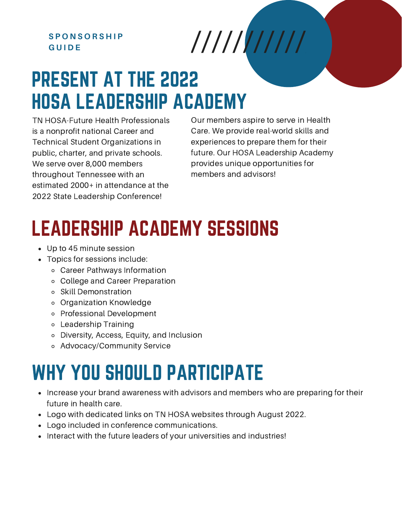#### **S P O N S O R S H I P G U I D E**

#### PRESENT AT THE 2022 HOSA LEADERSHIP ACADEMY

TN HOSA-Future Health Professionals is a nonprofit national Career and Technical Student Organizations in public, charter, and private schools. We serve over 8,000 members throughout Tennessee with an estimated 2000+ in attendance at the 2022 State Leadership Conference!

Our members aspire to serve in Health Care. We provide real-world skills and experiences to prepare them for their future. Our HOSA Leadership Academy provides unique opportunities for members and advisors!

### LEADERSHIP ACADEMY SESSIONS

- Up to 45 minute session
- Topics for sessions include:
	- Career Pathways Information
	- College and Career Preparation
	- Skill Demonstration
	- Organization Knowledge
	- Professional Development
	- Leadership Training
	- Diversity, Access, Equity, and Inclusion
	- Advocacy/Community Service

#### WHY YOU SHOULD PARTICIPATE

- Increase your brand awareness with advisors and members who are preparing for their future in health care.
- Logo with dedicated links on TN HOSA websites through August 2022.
- Logo included in conference communications.
- Interact with the future leaders of your universities and industries!